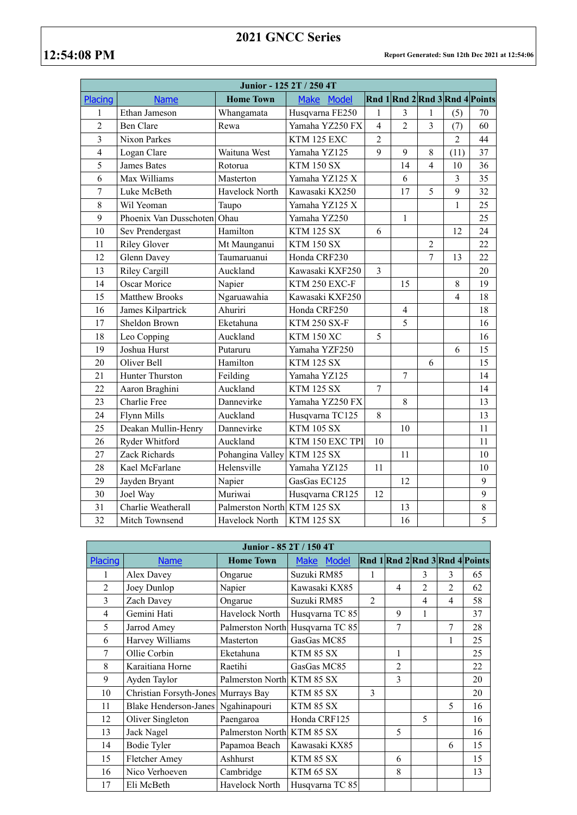## **2021 GNCC Series**

| Junior - 125 2T / 250 4T |                        |                  |                     |                |                |                         |                |                                |  |
|--------------------------|------------------------|------------------|---------------------|----------------|----------------|-------------------------|----------------|--------------------------------|--|
| Placing                  | <b>Name</b>            | <b>Home Town</b> | Make Model          |                |                |                         |                | Rnd 1 Rnd 2 Rnd 3 Rnd 4 Points |  |
| 1                        | Ethan Jameson          | Whangamata       | Husqvarna FE250     | 1              | 3              | 1                       | (5)            | 70                             |  |
| $\overline{c}$           | <b>Ben Clare</b>       | Rewa             | Yamaha YZ250 FX     | $\overline{4}$ | $\overline{c}$ | $\overline{\mathbf{3}}$ | (7)            | 60                             |  |
| $\overline{\mathbf{3}}$  | Nixon Parkes           |                  | KTM 125 EXC         | $\overline{2}$ |                |                         | $\overline{2}$ | 44                             |  |
| $\overline{\mathbf{4}}$  | Logan Clare            | Waituna West     | Yamaha YZ125        | 9              | 9              | 8                       | (11)           | 37                             |  |
| 5                        | <b>James Bates</b>     | Rotorua          | <b>KTM 150 SX</b>   |                | 14             | $\overline{4}$          | 10             | 36                             |  |
| 6                        | Max Williams           | Masterton        | Yamaha YZ125 X      |                | 6              |                         | 3              | 35                             |  |
| $\overline{7}$           | Luke McBeth            | Havelock North   | Kawasaki KX250      |                | 17             | 5                       | 9              | 32                             |  |
| 8                        | Wil Yeoman             | Taupo            | Yamaha YZ125 X      |                |                |                         | 1              | 25                             |  |
| 9                        | Phoenix Van Dusschoten | Ohau             | Yamaha YZ250        |                | $\mathbf{1}$   |                         |                | 25                             |  |
| 10                       | Sev Prendergast        | Hamilton         | <b>KTM 125 SX</b>   | 6              |                |                         | 12             | 24                             |  |
| 11                       | <b>Riley Glover</b>    | Mt Maunganui     | <b>KTM 150 SX</b>   |                |                | $\overline{2}$          |                | 22                             |  |
| 12                       | Glenn Davey            | Taumaruanui      | Honda CRF230        |                |                | $\overline{7}$          | 13             | 22                             |  |
| 13                       | <b>Riley Cargill</b>   | Auckland         | Kawasaki KXF250     | 3              |                |                         |                | 20                             |  |
| 14                       | Oscar Morice           | Napier           | KTM 250 EXC-F       |                | 15             |                         | $\,8\,$        | 19                             |  |
| 15                       | <b>Matthew Brooks</b>  | Ngaruawahia      | Kawasaki KXF250     |                |                |                         | $\overline{4}$ | 18                             |  |
| 16                       | James Kilpartrick      | Ahuriri          | Honda CRF250        |                | $\overline{4}$ |                         |                | 18                             |  |
| 17                       | Sheldon Brown          | Eketahuna        | <b>KTM 250 SX-F</b> |                | 5              |                         |                | 16                             |  |
| 18                       | Leo Copping            | Auckland         | <b>KTM 150 XC</b>   | 5              |                |                         |                | 16                             |  |
| 19                       | Joshua Hurst           | Putaruru         | Yamaha YZF250       |                |                |                         | 6              | 15                             |  |
| 20                       | Oliver Bell            | Hamilton         | <b>KTM 125 SX</b>   |                |                | 6                       |                | 15                             |  |
| 21                       | Hunter Thurston        | Feilding         | Yamaha YZ125        |                | $\overline{7}$ |                         |                | 14                             |  |
| 22                       | Aaron Braghini         | Auckland         | <b>KTM 125 SX</b>   | $\overline{7}$ |                |                         |                | 14                             |  |
| 23                       | Charlie Free           | Dannevirke       | Yamaha YZ250 FX     |                | 8              |                         |                | 13                             |  |
| 24                       | Flynn Mills            | Auckland         | Husqvarna TC125     | 8              |                |                         |                | 13                             |  |
| 25                       | Deakan Mullin-Henry    | Dannevirke       | <b>KTM 105 SX</b>   |                | 10             |                         |                | 11                             |  |
| 26                       | Ryder Whitford         | Auckland         | KTM 150 EXC TPI     | 10             |                |                         |                | 11                             |  |
| 27                       | Zack Richards          | Pohangina Valley | <b>KTM 125 SX</b>   |                | 11             |                         |                | 10                             |  |
| 28                       | Kael McFarlane         | Helensville      | Yamaha YZ125        | 11             |                |                         |                | 10                             |  |
| 29                       | Jayden Bryant          | Napier           | GasGas EC125        |                | 12             |                         |                | 9                              |  |
| 30                       | Joel Way               | Muriwai          | Husqvarna CR125     | 12             |                |                         |                | 9                              |  |
| 31                       | Charlie Weatherall     | Palmerston North | <b>KTM 125 SX</b>   |                | 13             |                         |                | $\,8\,$                        |  |
| 32                       | Mitch Townsend         | Havelock North   | <b>KTM 125 SX</b>   |                | 16             |                         |                | $\overline{5}$                 |  |

| Junior - 85 2T / 150 4T |                                     |                            |                                  |                |                |                |                |                                |  |
|-------------------------|-------------------------------------|----------------------------|----------------------------------|----------------|----------------|----------------|----------------|--------------------------------|--|
| Placing                 | <b>Name</b>                         | <b>Home Town</b>           | <b>Model</b><br><b>Make</b>      |                |                |                |                | Rnd 1 Rnd 2 Rnd 3 Rnd 4 Points |  |
| 1                       | Alex Davey                          | Ongarue                    | Suzuki RM85                      | 1              |                | 3              | 3              | 65                             |  |
| $\overline{2}$          | Joey Dunlop                         | Napier                     | Kawasaki KX85                    |                | $\overline{4}$ | $\mathfrak{D}$ | $\mathfrak{D}$ | 62                             |  |
| 3                       | Zach Davey                          | Ongarue                    | Suzuki RM85                      | $\mathfrak{D}$ |                | 4              | 4              | 58                             |  |
| $\overline{4}$          | Gemini Hati                         | Havelock North             | Husqvarna TC 85                  |                | 9              | $\mathbf{1}$   |                | 37                             |  |
| 5                       | Jarrod Amey                         |                            | Palmerston North Husqvarna TC 85 |                | $\overline{7}$ |                | 7              | 28                             |  |
| 6                       | Harvey Williams                     | Masterton                  | GasGas MC85                      |                |                |                | $\mathbf{1}$   | 25                             |  |
| $\overline{7}$          | Ollie Corbin                        | Eketahuna                  | KTM 85 SX                        |                | 1              |                |                | 25                             |  |
| 8                       | Karaitiana Horne                    | Raetihi                    | GasGas MC85                      |                | $\overline{2}$ |                |                | 22                             |  |
| 9                       | Ayden Taylor                        | Palmerston North KTM 85 SX |                                  |                | 3              |                |                | 20                             |  |
| 10                      | Christian Forsyth-Jones Murrays Bay |                            | KTM 85 SX                        | 3              |                |                |                | 20                             |  |
| 11                      | <b>Blake Henderson-Janes</b>        | Ngahinapouri               | KTM 85 SX                        |                |                |                | 5              | 16                             |  |
| 12                      | Oliver Singleton                    | Paengaroa                  | Honda CRF125                     |                |                | 5              |                | 16                             |  |
| 13                      | Jack Nagel                          | Palmerston North KTM 85 SX |                                  |                | 5              |                |                | 16                             |  |
| 14                      | <b>Bodie Tyler</b>                  | Papamoa Beach              | Kawasaki KX85                    |                |                |                | 6              | 15                             |  |
| 15                      | Fletcher Amey                       | Ashhurst                   | KTM 85 SX                        |                | 6              |                |                | 15                             |  |
| 16                      | Nico Verhoeven                      | Cambridge                  | KTM 65 SX                        |                | 8              |                |                | 13                             |  |
| 17                      | Eli McBeth                          | Havelock North             | Husqvarna TC 85                  |                |                |                |                |                                |  |